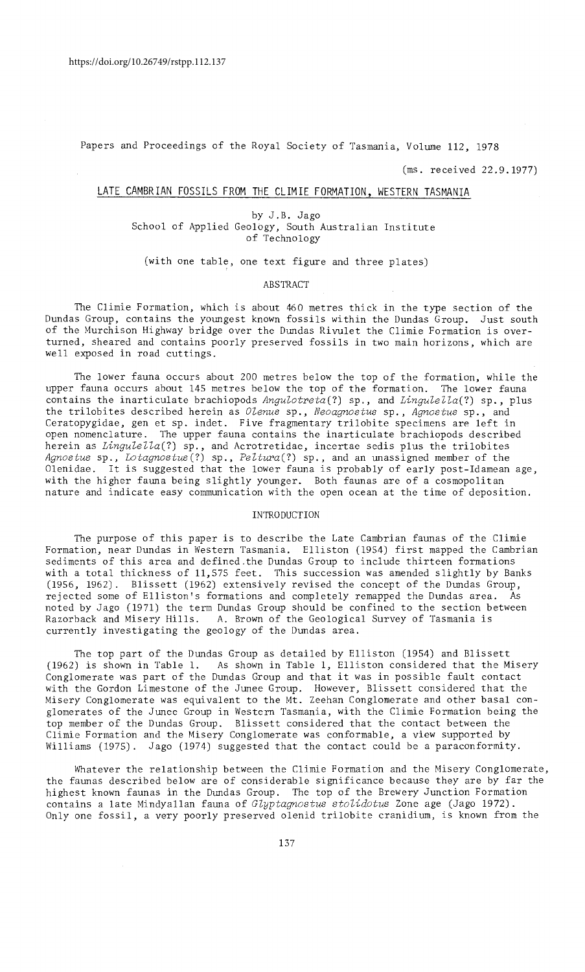Papers and Proceedings of the Royal Society of Tasmania, Volume 112, 1978

(ms. received 22.9.1977)

### LATE CAMBRIAN FOSSILS FROM THE CLIMIE FORMATION, WESTERN TASMANIA

by J.B. Jago School of Applied Geology, South Australian Institute of Technology

(with one table, one text figure and three plates)

I

#### ABSTRACT

The Climie Formation, which is about 460 metres thick in the type section of the Dundas Group, contains the youngest known fossils within the Dundas Group. Just south of the Murchison Highway bridge over the Dundas Rivulet the Climie Formation is overturned, sheared and contains poorly preserved fossils in two main horizons, which are well exposed in road cuttings.

The lower fauna occurs about 200 metres below the top of the formation, while the upper fauna occurs about 145 metres below the top of the formation. The lower fauna contains the inarticulate brachiopods *Angulotreta(?)* sp., and *Lingulella(?)* sp., plus the trilobites described herein as *Olenus* sp., *Neoagnostus* sp., *Agnostus* sp., and Ceratopygidae, gen et sp. indet. Five fragmentary trilobite specimens are left in open nomenclature. The upper fauna contains the inarticulate brachiopods described herein as *Lingulella(?)* sp., and Acrotretidae, incertae sedis plus the trilobites *Agnostus* sp., *Lotagnostus(?)* sp., *Peltura(?)* sp., and an unassigned member of the Olenidae. It is suggested that the lower fauna is probably of early post-Idamean age, with the higher fauna being slightly younger. Both faunas are of a cosmopolitan nature and indicate easy communication with the open ocean at the time of deposition.

#### INTRODUCTION

The purpose of this paper is to describe the Late Cambrian faunas of the Climie Formation, near Dundas in Western Tasmania. Elliston (1954) first mapped the Cambrian sediments of this area and defined.the Dundas Group to include thirteen formations with a total thickness of 11,575 feet. This succession was amended slightly by Banks (1956, 1962). Blissett (1962) extensively revised the concept of the Dundas Group, rejected some of Elliston's formations and completely remapped the Dundas area. As noted by Jago (1971) the term Dundas Group should be confined to the section between A. Brown of the Geological Survey of Tasmania is currently investigating the geology of the Dundas area.

The top part of the Dundas Group as detailed by Elliston (1954) and Blissett (1962) is shown in Table 1. As shown in Table 1, Elliston considered that the Misery Conglomerate was part of the Dundas Group and that it was in possible fault contact with the Gordon Limestone of the Junee Group. However, Blissett considered that the Misery Conglomerate was equivalent to the Mt. Zeehan Conglomerate and other basal conglomerates of the Junee Group in Western Tasmania, with the Climie Formation being the top member of the Dundas Group. Blissett considered that the contact between the Climie Formation and the Misery Conglomerate was conformable, a view supported by Williams (1975). Jago (1974) suggested that the contact could be a paraconformity.

Whatever the relationship between the Climie Formation and the Misery Conglomerate, the faunas described below are of considerable significance because they are by far the highest known faunas in the Dundas Group. The top of the Brewery Junction Formation contains a late Mindyallan fauna of *Glyptagnostus stolidotus* Zone age (Jago 1972). Only one fossil, a very poorly preserved olenid trilobite cranidium, is known from the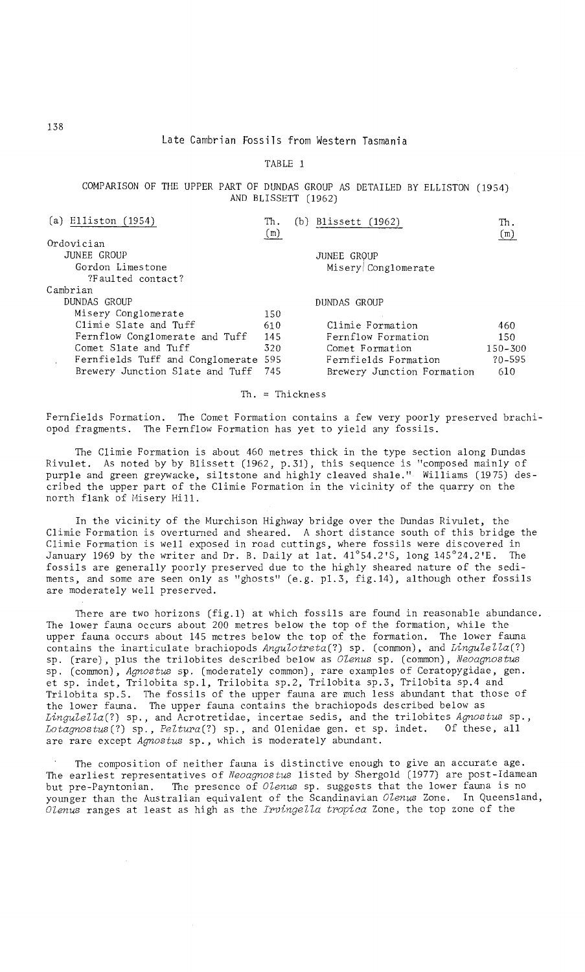### Late Cambrian Fossils from Western Tasmania

TABLE 1

COMPARISON OF THE UPPER PART OF DUNDAS GROUP AS DETAILED BY ELLISTON (1954) AND BLISSETT (1962)

| (a) Elliston (1954)                  | Th.<br>(m) | (b) Blissett (1962)        | Th.<br>(m)  |
|--------------------------------------|------------|----------------------------|-------------|
| Ordovician                           |            |                            |             |
| JUNEE GROUP                          |            | JUNEE GROUP                |             |
| Gordon Limestone                     |            | Misery Conglomerate        |             |
| ?Faulted contact?                    |            |                            |             |
| Cambrian                             |            |                            |             |
| DUNDAS GROUP                         |            | DUNDAS GROUP               |             |
| Misery Conglomerate                  | 150        |                            |             |
| Climie Slate and Tuff                | 610        | Climie Formation           | 460         |
| Fernflow Conglomerate and Tuff       | -145       | Fernflow Formation         | 150         |
| Comet Slate and Tuff                 | 320        | Comet Formation            | $150 - 300$ |
| Fernfields Tuff and Conglomerate 595 |            | Fernfields Formation       | $?0 - 595$  |
| Brewery Junction Slate and Tuff      | -745       | Brewery Junction Formation | 610         |

Th. = Thickness

Fernfields Formation. The Comet Formation contains a few very poorly preserved brachiopod fragments. The Fernflow Formation has yet to yield any fossils.

The Climie Formation is about 460 metres thick in the type section along Dundas Rivulet. As noted by by Blissett (1962, p.31), this sequence is "composed mainly of purple and green greywacke, siltstone and highly cleaved shale." Williams (1975) described the upper part of the Climie Formation in the vicinity of the quarry on the north flank of Misery Hill.

In the vicinity of the Murchison Highway bridge over the Dundas Rivulet, the Climie Formation is overturned and sheared. A short distance south of this bridge the Climie Formation is well exposed in road cuttings, where fossils were discovered in January 1969 by the writer and Dr. B. Daily at lat. 41°54.2'S, long 145°24.2'E. The fossils are generally poorly preserved due to the highly sheared nature of the sediments, and some are seen only as "ghosts" (e.g. p1.3, fig.14), although other fossils are moderately well preserved.

There are two horizons (fig.1) at which fossils are found in reasonable abundance. The lower fauna occurs about 200 metres below the top of the formation, while the upper fauna occurs about 145 metres below the top of the formation. The lower fauna contains the inarticulate brachiopods *Angulotreta*(?) sp. (common), and *Lingulella*(?) sp. (rare), plus the trilobites described below as *OZenus* sp. (common), *Neoagnostus*  sp. (common), *Agnostus* sp. (moderately common), rare examples of Ceratopygidae, gen. et sp. indet, Trilobita sp.l, Trilobita sp.2, Trilobita sp.3, Trilobita sp.4 and Trilobita sp.5. The fossils of the upper fauna are much less abundant that those of the lower fauna. The upper fauna contains the brachiopods described below as Lingulella(?) sp., and Acrotretidae, incertae sedis, and the trilobites *Agnostus* sp., *Lotagnostus(?)* sp., *PeZtura(?)* sp., and Olenidae gen. et sp. indet. Of these, all are rare except *Agnostus* sp., which is moderately abundant.

The composition of neither fauna is distinctive enough to give an accurate age. The earliest representatives of *Neoagnostus* listed by Shergold (1977) are post-Idamean but pre-Payntonian. The presence of *Olenus* sp. suggests that the lower fauna is no younger than the Australian equivalent of the Scandinavian *OZenus* Zone. In Queensland, *OZenus* ranges at least as high as the *IrvingeZZa tropica* Zone, the top zone of the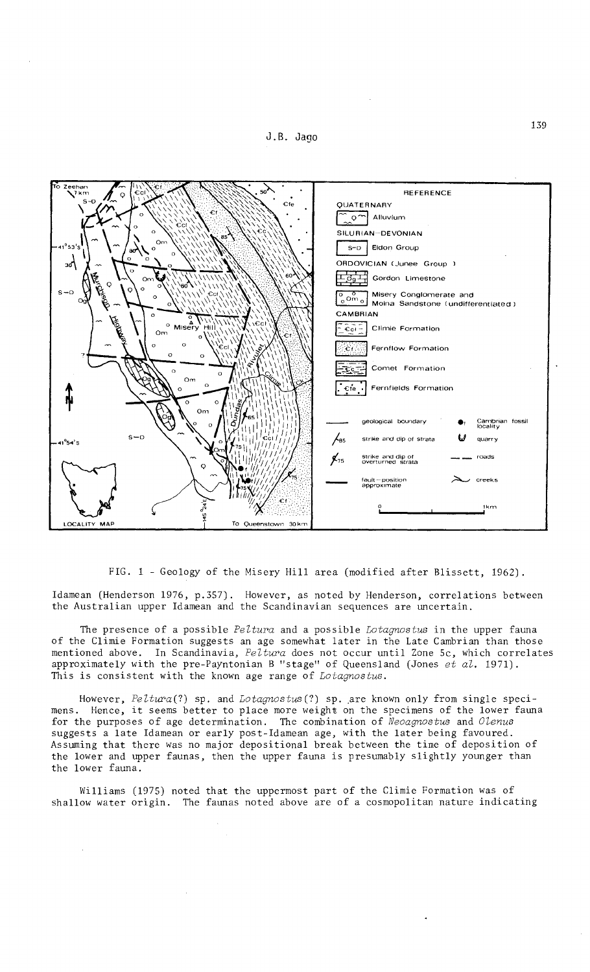



FIG. 1 - Geology of the Misery Hill area (modified after Blissett, 1962).

Idamean (Henderson 1976, p.357). However, as noted by Henderson, correlations between the Australian upper Idamean and the Scandinavian sequences are uncertain.

The presence of a possible *Peltura* and a possible *Lotagnostus* in the upper fauna of the Climie Formation suggests an age somewhat later in the Late Cambrian than those mentioned above. In Scandinavia, *Peltura* does not occur until Zone 5c, which correlates approximately with the pre-Payntonian B "stage" of Queensland (Jones *et al.* 1971). This is consistent with the known age range of *Lotagnostus.* 

However, *Peltura(?)* sp. and *Lotagnostus(?)* sp .. are known only from single specimens. Hence, it seems better to place more weight on the specimens of the lower fauna for the purposes of age determination. The combination of *Neoagnostus* and *Olenus*  suggests a late Idamean or early post-Idamean age, with the later being favoured. Assuming that there was no major depositional break between the time of deposition of the lower and upper faunas, then the upper fauna is presumably slightly younger than the lower fauna.

Williams (1975) noted that the uppermost part of the Climie Formation was of shallow water origin. The faunas noted above are of a cosmopolitan nature indicating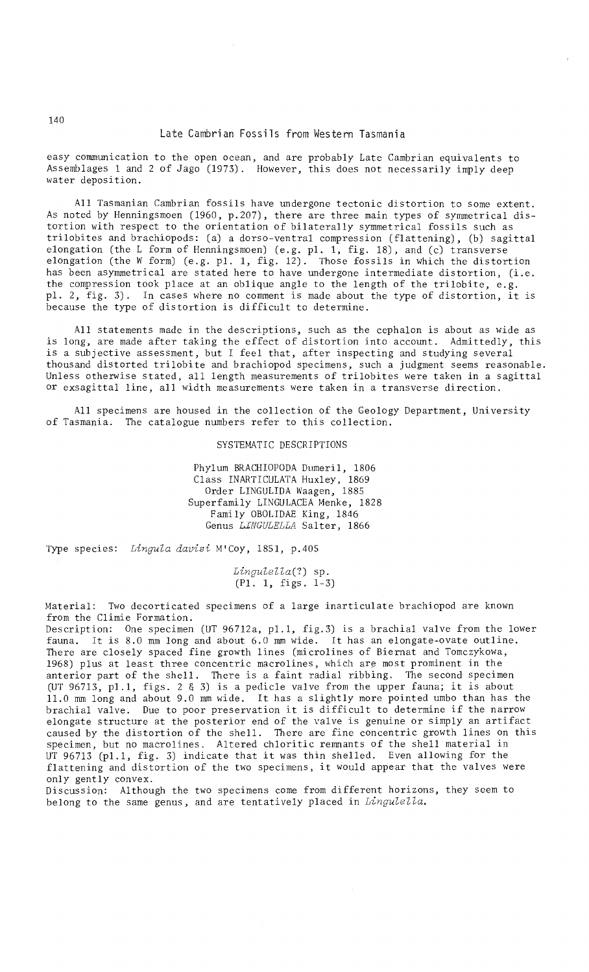#### Late Cambrian Fossils from Western Tasmania

easy communication to the open ocean, and are probably Late Cambrian equivalents to Assemblages 1 and 2 of Jago (1973). However, this does not necessarily imply deep water deposition.

All Tasmanian Cambrian fossils have undergone tectonic distortion to some extent. As noted by Henningsmoen (1960, p.207), there are three main types of symmetrical distortion with respect to the orientation of bilaterally symmetrical fossils such as trilobites and brachiopods: (a) a dorso-ventral compression (flattening), (b) sagittal elongation (the L form of Henningsmoen) (e. g. pI. 1, fig. 18), and (c) transverse elongation (the W form) (e.g. pI. 1, fig. 12). Those fossils in which the distortion has been asymmetrical are stated here to have undergone intermediate distortion, (i.e. the compression took place at an oblique angle to the length of the trilobite, e.g. pl. 2, fig. 3). In cases where no comment is made about the type of distortion, it is because the type of distortion is difficult to determine.

All statements made in the descriptions, such as the cephalon is about as wide as is long, are made after taking the effect of distortion into account. Admittedly, this is a subjective assessment, but I feel that, after inspecting and studying several thousand distorted trilobite and brachiopod specimens, such a judgment seems reasonable. Unless otherwise stated, all length measurements of trilobites were taken in a sagittal or exsagi ttal line, all width measurements were taken in a transverse direction.

All specimens are housed in the collection of the Geology Department, University of Tasmania. The catalogue numbers refer to this collection.

SYSTEMATIC DESCRIPTIONS

Phylum BRACHIOPODA Dumeril, 1806 Class INARTICULATA Huxley, 1869 Order LINGULIDA Waagen, 1885 Superfamily LINGULACEA Menke, 1828 Family OBOLIDAE King, 1846 Genus *LINGULELLA* Salter, 1866

Type species: *Lingula davisi* M'Coy, 1851, p.40S

*Lingulella(?)* sp. (PI. 1, figs. 1-3)

Material: Two decorticated specimens of a large inarticulate brachiopod are known from the Climie Formation.

Description: One specimen (UT 96712a, pl.l, fig.3) is a brachial valve from the lower fauna. It is 8.0 mm long and about 6.0 mm wide. It has an elongate-ovate outline. There are closely spaced fine growth lines (microlines of Biernat and Tomczykowa, 1968) plus at least three concentric macrolines, which are most prominent in the anterior part of the shell. There is a faint radial ribbing. The second specimen (UT 96713, pl.1, figs. 2 & 3) is a pedicle valve from the upper fauna; it is about 11. 0 mm long and about 9.0 mm wide. It has a slightly more pointed umbo than has the brachial valve. Due to poor preservation it is difficult to determine if the narrow elongate structure at the posterior end of the valve is genuine or simply an artifact caused by the distortion of the shell. There are fine concentric growth lines on this specimen, but no macrolines. Altered chloritic remnants of the shell material in UT 96713 (pl.1, fig. 3) indicate that it was thin shell flattening and distortion of the two specimens, it would appear that the valves were only gently convex.

Discussion: Although the two specimens come from different horizons, they seem to belong to the same genus, and are tentatively placed in *Lingulella.*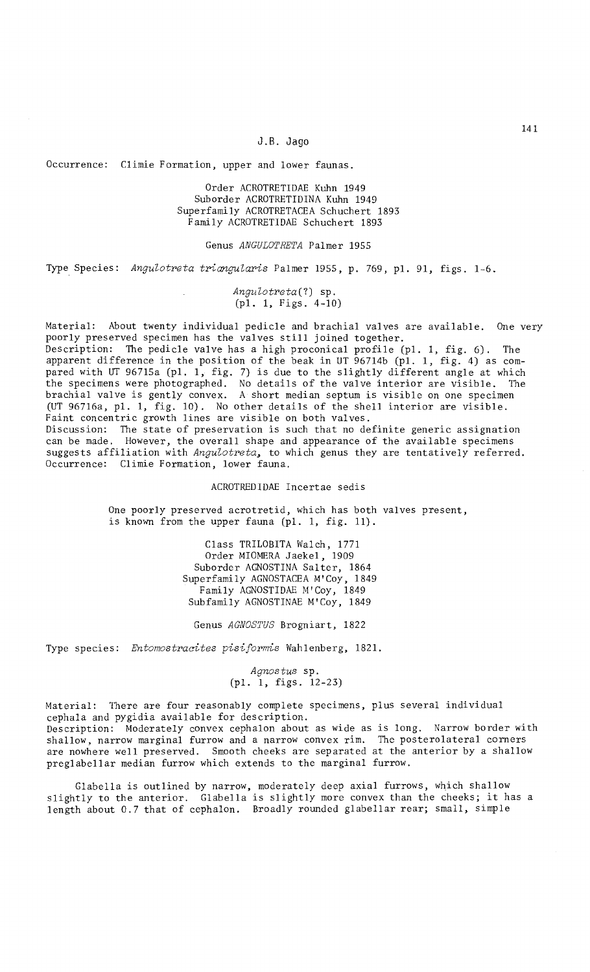#### J.B. Jago

Occurrence: Climie Formation, upper and lower faunas.

Order ACROTRETIDAE Kuhn 1949 Suborder ACROTRETIDINA Kuhn 1949 Superfamily ACROTRETACEA Schuchert 1893 Family ACROTRETIDAE Schuchert 1893

Genus *ANGULOTRETA* Palmer 1955

Type Species: Angulotreta triangularis Palmer 1955, p. 769, pl. 91, figs. 1-6.

*Angutotreta(?)* sp. (pl. 1, Figs. 4-10)

Material: About twenty individual pedicle and brachial valves are available. One very poorly preserved specimen has the valves still joined together. Description: The pedicle valve has a high proconical profile (pI. 1, fig. 6). The apparent difference in the position of the beak in UT 96714b (pl. 1, fig. 4) as compared with UT 96715a (pl. 1, fig. 7) is due to the slightly different angle at which the specimens were photographed. No details of the valve interior are visible. The brachial valve is gently convex. A short median septum is visible on one specimen

Faint concentric growth lines are visible on both valves. Discussion: The state of preservation is such that no definite generic assignation can be made. However, the overall shape and appearance of the available specimens suggests affiliation with *Angutotreta,* to which genus they are tentatively referred. Occurrence: Climie Formation, lower fauna.

(UT 96716a, pl. 1, fig. 10). No other details of the shell interior are visible.

ACROTREDIDAE Incertae sedis

One poorly preserved acrotretid, which has both valves present, is known from the upper fauna (pl. 1, fig. 11).

> Class TRILOBITA Walch, 1771 Order MIOMERA Jaekel, 1909 Suborder AGNOSTINA Salter, 1864 Superfamily AGNOSTACEA M'Coy, 1849 Family AGNOSTIDAE M'Coy, 1849 Subfamily AGNOSTINAE M'Coy, 1849

Genus *AGNOSTUS* Brogniart, 1822

Type species: *Entomostracites pisiformis* Wahlenberg, 1821.

*Agnostus* sp. (pl. 1, figs. 12-23)

Material: There are four reasonably complete specimens, plus several individual cepha1a and pygidia available for description. Description: Moderately convex cephalon about as wide as is long. Narrow border with shallow, narrow marginal furrow and a narrow convex rim. The posterolateral corners are nowhere well preserved. Smooth cheeks are separated at the anterior by a shallow preglabellar median furrow which extends to the marginal furrow.

Glabella is outlined by narrow, moderately deep axial furrows, which shallow slightly to the anterior. Glabella is slightly more convex than the cheeks; it has a length about 0.7 that of cephalon. Broadly rounded glabellar rear; small, simple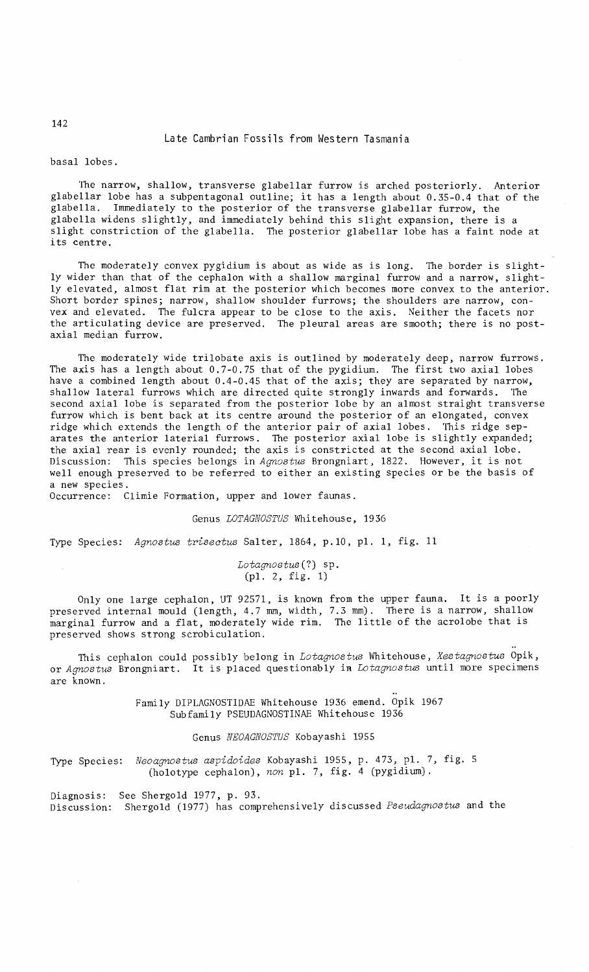### basal lobes.

The narrow, shallow, transverse glabellar furrow is arched posteriorly. Anterior glabellar lobe has a subpentagonal outline; it has a length about 0.35-0.4 that of the glabella. Immediately to the posterior of the transverse glabellar furrow, the glabella widens slightly, and immediately behind this slight expansion, there is a slight constriction of the glabella. The posterior glabellar lobe has a faint node at its centre.

The moderately convex pygidium is about as wide as is long. The border is slightly wider than that of the cephalon with a shallow marginal furrow and a narrow, slightly elevated, almost flat rim at the posterior which becomes more convex to the anterior. Short border spines; narrow, shallow shoulder furrows; the shoulders are narrow, convex and elevated. The fulcra appear to be close to the axis. Neither the facets nor the articulating device are preserved. The pleural areas are smooth; there is no postaxial median furrow.

The moderately wide trilobate axis is outlined by moderately deep, narrow furrows. The axis has a length about 0.7-0.75 that of the pygidium. The first two axial lobes have a combined length about 0.4-0.45 that of the axis; they are separated by narrow, shallow lateral furrows which are directed quite strongly inwards and forwards. The second axial lobe is separated from the posterior lobe by an almost straight transverse furrow which is bent back at its centre around the posterior of an elongated, convex ridge which extends the length of the anterior pair of axial lobes. This ridge separates the anterior laterial furrows. The posterior axial lobe is slightly expanded; the axial rear is evenly rounded; the axis is constricted at the second axial lobe. Discussion: This species belongs in *Agnostus* Brongniart, 1822. However, it is not well enough preserved to be referred to either an existing species or be the basis of a new species.

Occurrence: Climie Formation, upper and lower faunas.

### Genus LOTAGNOSTUS Whitehouse, 1936

Type Species: *Agnostus triseotus* Salter, 1864, p.10, pl. 1, fig. 11

*Lotagnostus(?)* sp. (pI. 2, fig. 1)

Only one large cephalon, UT 92571, is known from the upper fauna. It is a poorly preserved internal mould (length, 4.7 mm, width, 7.3 mm). There is a narrow, shallow marginal furrow and a flat, moderately wide rim. The little of the acrolobe that is preserved shows strong scrobiculation.

This cephalon could possibly belong in *Lotagnostus* Whitehouse, *Xestagnostus* Opik, or *Agnostus* Brongniart. It is placed questionably in *Lotagnostus* until more specimens are known.

> Family DIPLAGNOSTIDAE Whitehouse 1936 emend. Opik 1967 Subfamily PSEUDAGNOSTINAE Whitehouse 1936

### Genus NEOAGNOSTUS Kobayashi 1955

Type Species: *Neoagnostus aspidoides* Kobayashi 1955, p. 473, pI. 7, fig. 5 (holotype cephalon), *non* pI. 7, fig. 4 (pygidium).

Diagnosis: See Shergold 1977, p. 93. Discussion: Shergold (1977) has comprehensively discussed *Pseudagnostus* and the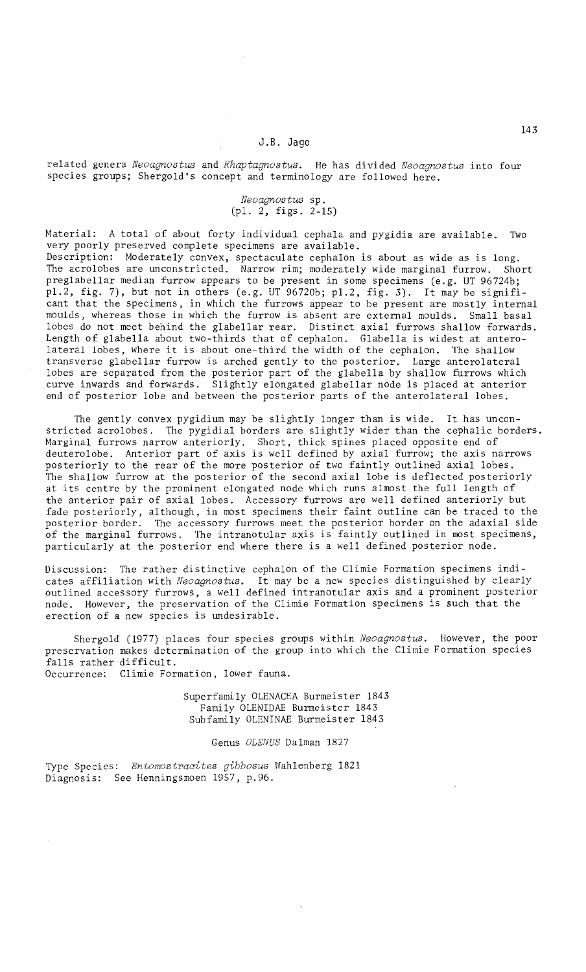related genera *Neoagnostus* and *Rhaptagnostus.* He has divided *Neoagnostus* into four species groups; Shergold's concept and terminology are followed here.

# *Neoagnostus* sp. (pI. 2, figs. 2-15)

Material: A total of about forty individual cephala and pygidia are available. Two very poorly preserved complete specimens are available.

Description: Moderately convex, spectaculate cephalon is about as wide as is long. The acro10bes are unconstricted. Narrow rim; moderately wide marginal furrow. Short preglabellar median furrow appears to be present in some specimens (e.g. UT 96724b; pl.2, fig. 7), but not in others (e.g. UT 96720b; pl.2, fig. 3). It may be significant that the specimens, in which the furrows appear to be present are mostly internal moulds, whereas those in which the furrow is absent are external moulds. Small basal lobes do not meet behind the glabe1lar rear. Distinct axial furrows shallow forwards. Length of glabella about two-thirds that of cephalon. Glabella is widest at anterolateral lobes, where it is about one-third the width of the cephalon. The shallow transverse glabellar furrow is arched gently to the posterior. Large anterolateral lobes are separated from the posterior part of the glabella by shallow furrows which curve inwards and forwards. Slightly elongated glabellar node is placed at anterior end of posterior lobe and between the posterior parts of the anterolateral lobes.

The gently convex pygidium may be slightly longer than is wide. It has unconstricted acrolobes. The pygidial borders are slightly wider than the cephalic borders. Marginal furrows narrow anteriorly. Short, thick spines placed opposite end of deuterolobe. Anterior part of axis is well defined by axial furrow; the axis narrows posteriorly to the rear of the more posterior of two faintly outlined axial lobes. The shallow furrow at the posterior of the second axial lobe is deflected posteriorly at its centre by the prominent elongated node which runs almost the full length of the anterior pair of axial lobes. Accessory furrows are well defined anteriorly but fade posteriorly, although, in most specimens their faint outline can be traced to the posterior border. The accessory furrows meet the posterior border on the adaxial side of the marginal furrows. The intranotular axis is faintly outlined in most specimens, particularly at the posterior end where there is a well defined posterior node.

Discussion: The rather distinctive cephalon of the Climie Formation specimens indicates affiliation with *Neoagnostus.* It may be a new species distinguished by clearly outlined accessory furrows, a well defined intranotular axis and a prominent posterior node. However, the preservation of the Climie Formation specimens is such that the erection of a new species is undesirable.

Shergold (1977) places four species groups wi thin *Neoagnostus.* However, the poor preservation makes determination of the group into which the Climie Formation species falls rather difficult. Occurrence: Climie Formation, lower fauna.

> Superfamily OLENACEA Burmeister 1843 Family OLENIDAE Burmeister 1843 Subfamily OLENINAE Burmeister 1843

> > Genus OLENUS Dalman 1827

Type Species: *Entomostracites gibbosus* Wahlenberg 1821 Diagnosis: See Henningsmoen 1957, p.96.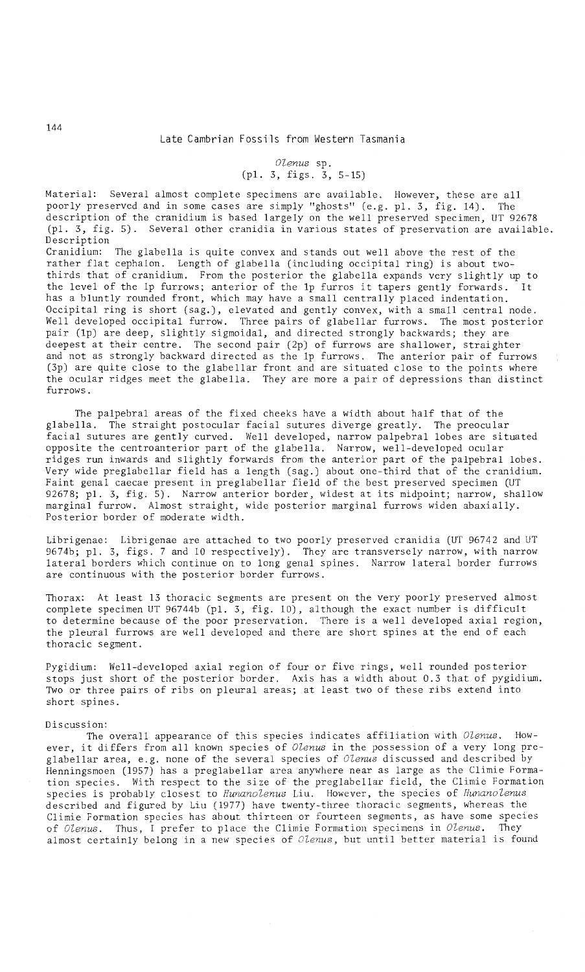# *OZenus* sp. (pl. 3, figs. 3, 5-15)

Material: Several almost complete specimens are available. However, these are all poorly preserved and in some cases are simply "ghosts" (e.g. pl. 3, fig. 14). The description of the cranidium is based largely on the well preserved specimen, UT 92678 (pl. 3, fig. 5). Several other cranidia in various states of preservation are available. Description

Cranidium: The glabella is quite convex and stands out well above the rest of the rather flat cephalon. Length of glabella (including occipital ring) is about twothirds that of cranidium. From the posterior the glabella expands very slightly up to the level of the 1p furrows; anterior of the 1p furros it tapers gently forwards. It has a bluntly rounded front, which may have a small centrally placed indentation. Occipital ring is short (sag.), elevated and gently convex, with a small central node. Well developed occipital furrow. Three pairs of glabellar furrows. The most posterior pair (lp) are deep, slightly sigmoidal, and directed strongly backwards; they are deepest at their centre. The second pair (2p) of furrows are shallower, straighter and not as strongly backward directed as the 1p furrows. The anterior pair of furrows (3p) are quite close to the glabellar front and are situated close to the points where the ocular ridges meet the glabella. They are more a pair of depressions than distinct furrows.

The palpebral areas of the fixed cheeks have a width about half that of the glabella. The straight postocular facial sutures diverge greatly. The preocular facial sutures are gently curved. Well developed, narrow palpebral lobes are situated opposite the centroanterior part of the glabella. Narrow, well-developed ocular ridges run inwards and slightly forwards from the anterior part of the palpebral lobes. Very wide preglabellar field has a length (sag.) about one-third that of the cranidium. Faint genal caecae present in preglabellar field of the best preserved specimen (UT 92678; pl. 3, fig. 5). Narrow anterior border, widest at its midpoint; narrow, shallow marginal furrow. Almost straight, wide posterior marginal furrows widen abaxially. Posterior border of moderate width.

Librigenae: Librigenae are attached to two poorly preserved cranidia (UT 96742 and UT 9674b; pl. 3, figs. 7 and 10 respectively). They are transversely narrow, with narrow lateral borders which continue on to long genal spines. Narrow lateral border furrows are continuous with the posterior border furrows.

Thorax: At least 13 thoracic segments are present on the very poorly preserved almost complete specimen UT 96744b (pl. 3, fig. 10), although the exact number is difficult to determine because of the poor preservation. There is a well developed axial region, the pleural furrows are well developed and there are short spines at the end of each thoracic segment.

Pygidium: Well-developed axial region of four or five rings, well rounded posterior stops just short of the posterior border. Axis has a width about 0.3 that of pygidium. Two or three pairs of ribs on pleural areas; at least two of these ribs extend into short spines.

#### Discussion:

The overall appearance of this species indicates affiliation with *Olenus*. However, it differs from all known species of *OZenus* in the possession of a very long preglabellar area, e.g. none of the several species of *OZenus* discussed and described by Henningsmoen (1957) has a preglabellar area anywhere near as large as the Climie Formation species. With respect to the size of the preglabellar field, the Climie Formation species is probably closest to *HunanoZenus* Liu. However, the species of *HunanoZenus*  described and figured by Liu (1977) have twenty-three thoracic segments, whereas the Climie Formation species has about thirteen or fourteen segments, as have some species of *Olenus.* Thus, I prefer to place the Climie Formation specimens in *Olenus.* They almost certainly belong in a new species of *Olenus,* but until better material is found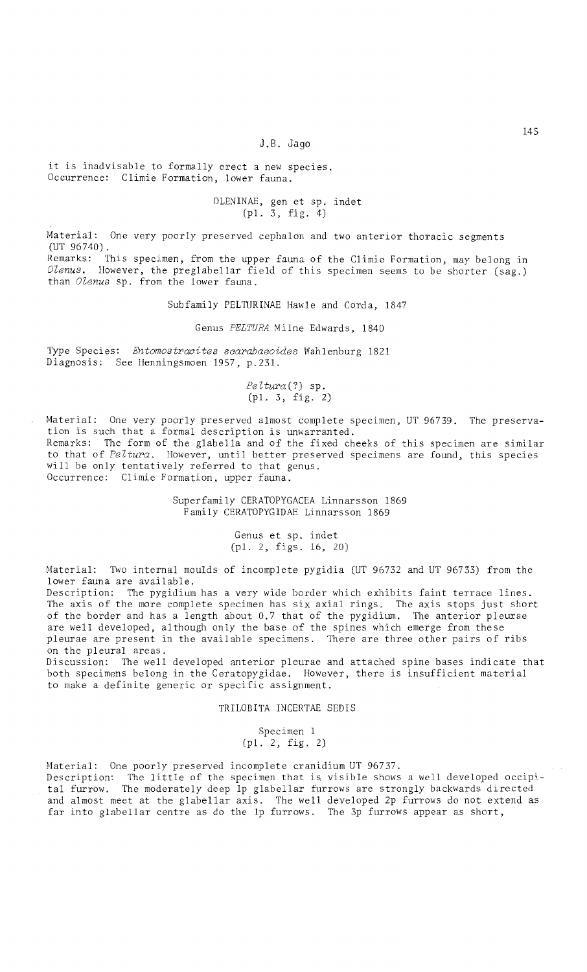### J.B. Jago

it is inadvisable to formally erect a new species. Occurrence: Climie Formation, lower fauna.

# OLENINAE, gen et sp. indet  $(p1. 3, fig. 4)$

Material: One very poorly preserved cephalon and two anterior thoracic segments (UT 96740).

Remarks: This specimen, from the upper fauna of the CI imie Formation, may belong in *Olenus.* However, the preglabellar field of this specimen seems to be shorter (sag.) than *Olenus* sp. from the lower fauna.

Subfamily PELTURINAE Hawle and Corda, 1847

Genus *PELTURA* Milne Edwards, 1840

Type Species: *Entomostracites scarabaeoides* Wahlenburg 1821 Diagnosis: See Henningsmoen 1957, p.231.

### *PeUura(?)* sp. (pI. 3, fig. 2)

Material: One very poorly preserved almost complete specimen, UT 96739. The preservation is such that a formal description is unwarranted. Remarks: The form of the glabella and of the fixed cheeks of this specimen are similar to that of *Peltw'a.* However, until better preserved specimens are found, this species will be only tentatively referred to that genus. Occurrence: Climie Formation, upper fauna.

> Superfamily CERATOPYGACEA Linnarsson 1869 F ami ly CERATOPYGIDAE Linnarsson 1869

> > Genus et sp. indet (pI. 2, figs. 16, 20)

Material: Two internal moulds of incomplete pygidia (UT 96732 and UT 96733) from the lower fauna are available.

Description: The pygidium has a very wide border which exhibits faint terrace lines. The axis of the more complete specimen has six axial rings. The axis stops just short of the border and has a length about 0.7 that of the pygidium. The anterior pleurae are well developed, although only the base of the spines which emerge from these pleurae are present in the available specimens. There are three other pairs of ribs on the pleural areas.

Discussion: 111e well developed anterior pleurae and attached spine bases indicate that both specimens belong in the Ceratopygidae. However, there is insufficient material to make a definite generic or specific assignment.

TRILOBITA INCERTAE SEDIS

Specimen I (pI. 2, fig. 2)

Material: One poorly preserved incomplete cranidium UT 96737. Description: The little of the specimen that is visible shows a well developed occipj. tal furrow. The moderately deep lp glabellar furrows are strongly backwards directed and almost meet at the glabellar axis. The well developed 2p furrows do not extend as far into glabellar centre as do the Ip furrows. The 3p furrows appear as short,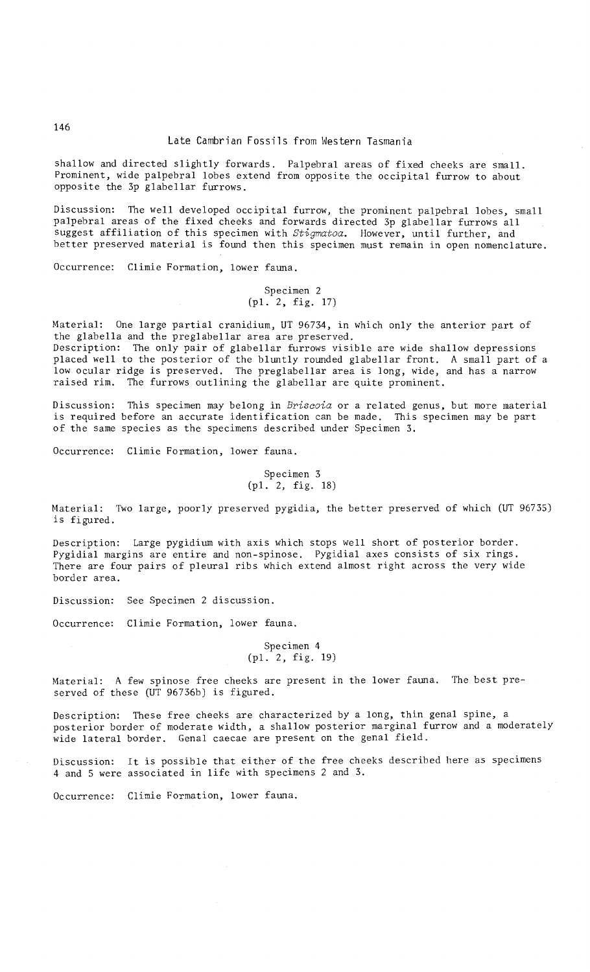shallow and directed slightly forwards. Palpebral areas of fixed cheeks are small. Prominent, wide palpebral lobes extend from opposite the occipital furrow to about opposite the 3p glabellar furrows.

Discussion: The well developed occipital furrow, the prominent palpebral lobes, small palpebral areas of the fixed cheeks and forwards directed 3p glabellar furrows all suggest affiliation of this specimen with *Stigmatoa.* However, until further, and better preserved material is found then this specimen must remain in open nomenclature.

Occurrence: Climie Formation, lower fauna.

### Specimen 2 (pl. 2, fig. 17)

Material: One large partial cranidium, UT 96734, in which only the anterior part of the glabella and the preglabellar area are preserved.

Description: The only pair of glabellar furrows visible are wide shallow depressions placed well to the posterior of the bluntly rounded glabellar front. A small part of a low ocular ridge is preserved. The preglabellar area is long, wide, and has a narrow raised rim. The furrows outlining the glabellar are quite prominent.

Discussion: This specimen may belong in *Briscoia* or a related genus, but more material is required before an accurate identification can be made. This specimen may be part of the same species as the specimens described under Specimen 3.

Occurrence: Climie Formation, lower fauna.

Specimen 3 (pl. 2, fig. IS)

Material: Two large, poorly preserved pygidia, the better preserved of which (UT 96735) is figured.

Description: Large pygidium with axis which stops well short of posterior border. Pygidial margins are entire and non-spinose. Pygidial axes consists of six rings. There are four pairs of pleural ribs which extend almost right across the very wide border area.

Discussion: See Specimen 2 discussion.

Occurrence: Climie Formation, lower fauna.

### Specimen 4 (pl. 2, fig. 19)

Material: A few spinose free cheeks are present in the lower fauna. The best preserved of these (UT 96736b) is figured.

Description: These free cheeks are characterized by a long, thin genal spine, a posterior border of moderate width, a shallow posterior marginal furrow and a moderately wide lateral border. Genal caecae are present on the genal field.

Discussion: It is possible that either of the free cheeks described here as specimens 4 and 5 were associated in life with specimens 2 and 3.

Occurrence: Climie Formation, lower fauna.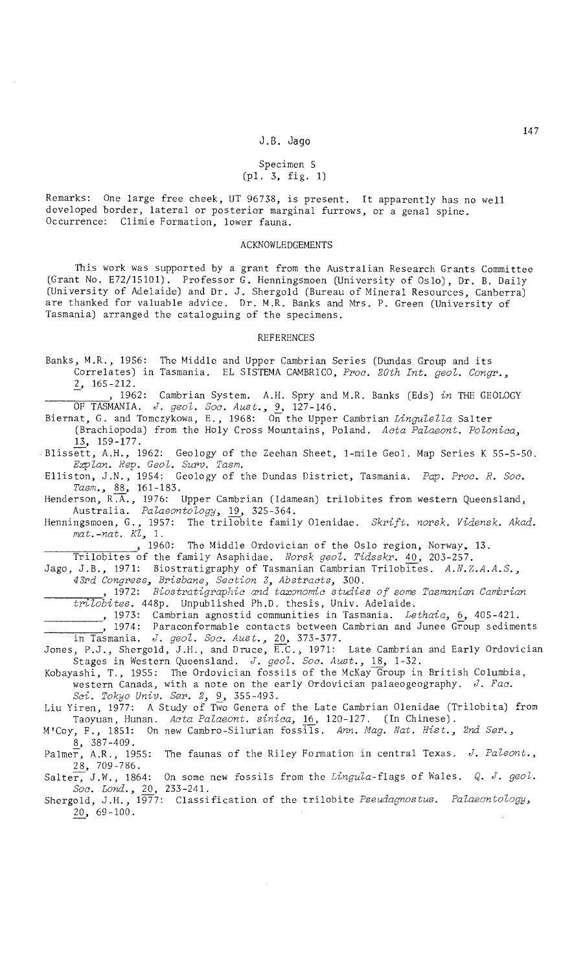### Specimen 5 (pI. 3, fig. 1)

Remarks: One large free cheek, UT 96738, is present. It apparently has no well developed border, lateral or posterior marginal furrows, or a genal spine. Occurrence: Climie Formation, lower fauna.

#### ACKNOWLEDGEMENTS

This work was supported by a grant from the Australian Research Grants Committee (Grant *No.* E72/15101). Professor G. Henningsmoen (University of Oslo), Dr. B. Daily (University of Adelaide) and Dr. J. Shergold (Bureau of Mineral Resources, Canberra) are thanked for valuable advice. Dr. M.R. Banks and Mrs. P. Green (University of Tasmania) arranged the cataloguing of the specimens.

#### REFERENCES

Banks, M.R., 1956: The Middle and Upper Cambrian Series (Dundas Group and its Correlates) in Tasmania. EL SISTEMA CAMBRICO, Proc. 20th Int. geol. Congr.,  $2, 165 - 212.$ 

1962: Cambrian System. A.H. Spry and M.R. Banks (Eds) in THE GEOLOGY OF TASMANIA. *J. geoZ. Soc. Aust.,* 9, 127-146.

Biernat, G. and Tomczykowa, E., 1968: On the Upper Cambrian *Lingulella* Salter (Brachiopoda) from the Holy Cross Mountains, Poland. *Acta PaZaeont. PoZonica,*  13, 159-177.

Blissett, A.H., 1962: Geology of the Zeehan Sheet, I-mile Geol. Map Series K 55-5-50.

*ExpZan. Rep. Geol. Supv. Tasm.*  Elliston, J.N., 1954: Geology of the Dundas District, Tasmania. *Pap. Ppoc. R. Soc. Tasm.,* 88, 161-183.

Henderson, R $\overline{A}$ , 1976: Upper Cambrian (Idamean) trilobites from western Queensland, Australia. *PaZaeontology,* 19, 325-364.

Henningsmoen, G., 1957: The trilobite family Olenidae. *Skrift. norsk. Vidensk. Akad. mat.-nat. KZ, 1.* 

, 1960: The Middle Ordovician of the Oslo region, Norway, 13.

Trilobites of the family Asaphidae. *Norsk geol. Tidsskr.* 40, 203-257.

Jago, J.B., 1971: Biostratigraphy of Tasmanian Cambrian Trilobites. *A.N.Z.A.A.S.,* 43rd Congress, Brisbane, Section 3, Abstracts, 300.<br>\_\_\_\_\_\_\_\_\_, 1972: *Biostratigraphic and taxonomic studies of some Tasmanian Cambrian* 

*tPiZobites.* 448p. Unpublished Ph.D. thesis, Univ. Adelaide.

,1973: Cambrian agnostid communities in Tasmania. *Le thai a,* 6, 405-421.

 $\frac{1}{2}$ , 1974: Paraconformable contacts between Cambrian and Junee Group sediments in Tasmania. *J. geoZ. Soc. Aust.,* 20, 373-377.

Jones, P.J., Shergold, J.H., and Druce,  $\overline{\mathrm{E.c}}$ ., 1971: Late Cambrian and Early Ordovician Stages in Western Queensland. J. geol. Soc. Aust., 18, 1-32.

Kobayashi, T., 1955: The Ordovician fossils of the McKay Group in British Columbia, western Canada, with a note on the early Ordovician palaeogeography. *J. Fac. Sci. Tokyo Univ. Sep.* 2, 9, 355-493.

Liu Yiren, 1977: A Study of Two Genera of the Late Cambrian Olenidae (Trilobita) from Taoyuan, Hunan. *Acta PaZaeont. sinica,* 16, 120-127. (In Chinese).

M'Coy, F., 1851: On new Cambro-Silurian fossils. *Ann. Mag. Nat. Hist., 2nd Sep.,*   $8, 387-409.$ 

Palmer, A.R., 1955: The faunas of the Riley Formation in central Texas. J. Paleont., 28, 709-786.

Salter, J.W., 1864: On some new fossils from the *Lingula-flags* of Wales. *Q. J. geol. Soc. Lond.,* 20, 233-241.

Shergold, J.H., 1977: Classification of the trilobite *Pseudagnostus. Palaeontology*, 20, 69-100.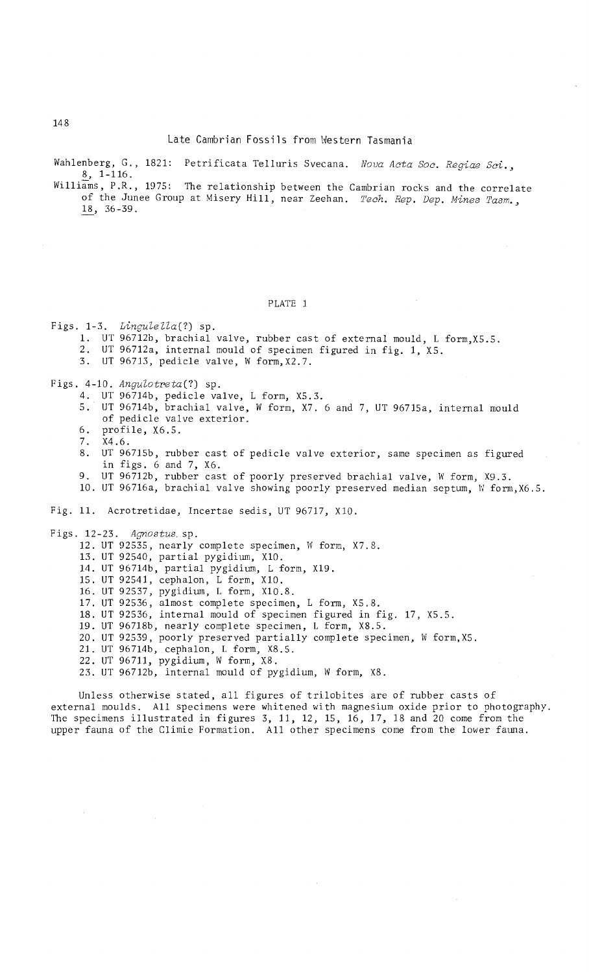Late Cambrian Fossils from Western Tasmania

Wahlenberg, G., 1821: Petrificata Telluris Svecana. Nova Acta Soc. Regiae Sci., S, 1-116.

Williams, P.R., 1975: The relationship between the Cambrian rocks and the correlate of the Junee Group at Misery Hill, near Zeehan. Tech. Rep. Dep. Mines Tasm., ~, 36-39.

# PLATE 1

Figs. 1-3. Lingulella(?) sp. 1. UT 96712b, brachial valve, rubber cast of external mould, L form,X5.5. 2. UT 96712a, internal mould of specimen figured in fig. 1, X5. 3. UT 96713, pedicle valve, W form,X2.7. Figs. 4-10. Angulotreta(?) sp. 4. UT 96714b, pedicle valve, L form, X5.3. 5. UT 96714b, brachial valve, W form, X7. 6 and 7, UT 96715a, internal mould of pedicle valve exterior. 6. profile, X6.5. 7. X4.6.<br>8. UT 96 UT 96715b, rubber cast of pedicle valve exterior, same specimen as figured in figs. 6 and 7, X6. 9. UT 96712b, rubber cast of poorly preserved brachial valve, W form, X9.3. 10. UT 96716a, brachial valve showing poorly preserved median septum, W form, X6. 5. Fig. 11. Acrotretidae, Incertae sedis, UT 96717, X10. Figs. 12-23. Agnostus sp. 12. UT 92535, nearly complete specimen, W form, X7.8. 13. UT 92540, partial pygidium, X10. 14. UT 96714b, partial pygidium, L form, X19. 15. UT 92541, cephalon, L form, X10. 16. UT 92537, pygidium, L form, X10.S. 17. UT 92536, almost complete specimen, L form, X5.8. IS. UT 92536, internal mould of specimen figured in fig. 17, X5.S. 19. UT 96718b, nearly complete specimen, L form, XS.5. 20. UT 92539, poorly preserved partially complete specimen, W form, X5. 21. UT 96714b, cephalon, L form, XS.5. 22. UT 96711, pygidium, W form, X8. 23. UT 96712b, internal mould of pygidium, W form, X8. Unless otherwise stated, all figures of trilobites are of rubber casts of

external moulds. All specimens were whitened with magnesium oxide prior to photography. The specimens illustrated in figures 3, 11, 12, 15, 16, 17, IS and 20 come from the upper fauna of the Climie Formation. All other specimens come from the lower fauna.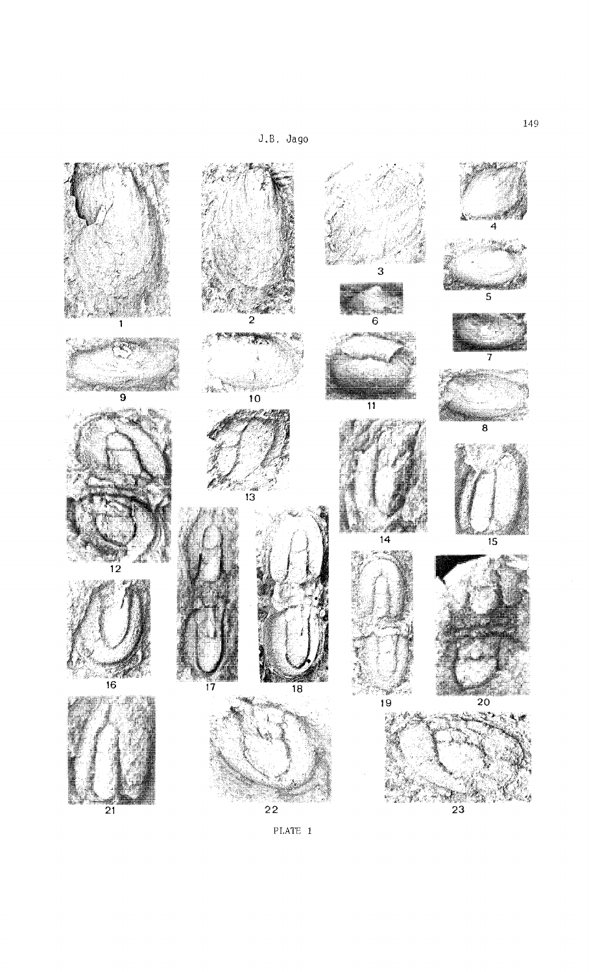J. B. Jago



PLATE 1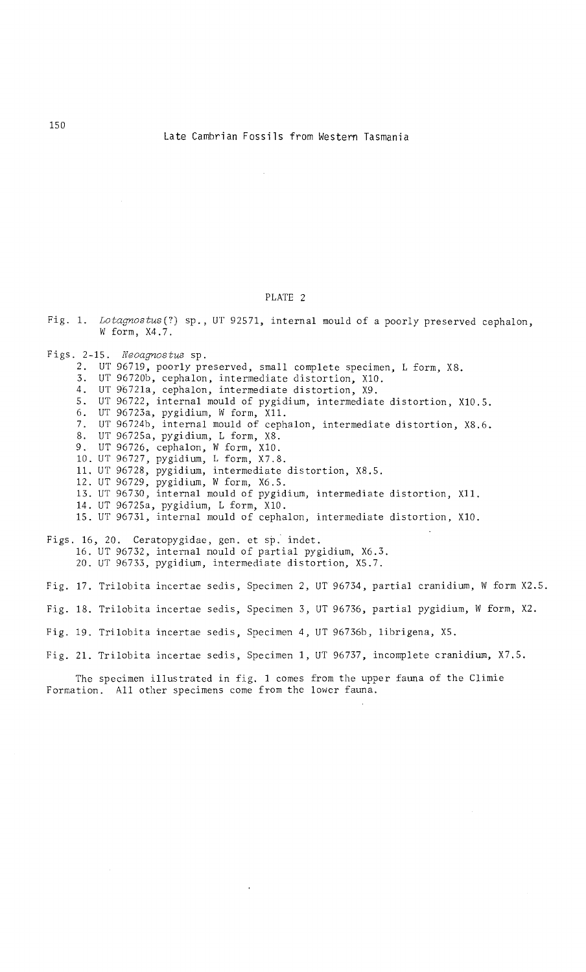# PLATE 2

Fig. 1. *Lotagnostus(?)* sp., UT 92571, internal mould of a poorly preserved cephalon, W form, X4.7.

Figs. 2-15. *Neoagnostus* sp. 2. UT 96719, poorly preserved, small complete specimen, L form, X8. 3. UT 96720b, cephalon, intermediate distortion, X10.<br>4. UT 96721a. cephalon, intermediate distortion, X9. 4. UT 9672la, cephalon, intermediate distortion, X9. UT 96722, internal mould of pygidium, intermediate distortion, X10.5. 6. UT 96723a, pygidium, W form, X11.<br>7. UT 96724b, internal mould of cephalon, intermediate distortion, X8.6. 8. UT 96725a, pygidium, L form, X8. 9. UT 96726, cephalon, W form, X10. 10. UT 96727, pygidium, L form, X7.8. 11. UT 96728, pygidium, intermediate distortion, X8.S. 12. UT 96729, pygidium, IV form, X6.S. 13. UT 96730, internal mould of pygidium, intermediate distortion, Xl1. 14. UT 96725a, pygidium, L form, XI0. 15. UT 96731, internal mould of cephalon, intermediate distortion, XIO.

Figs. 16, 20. Ceratopygidae, gen. et sp. indet. 16. UT 96732, internal mould of partial pygidium, X6.3. 20. UT 96733, pygidium, intermediate distortion, XS.7.

Fig. 17. Trilobita incertae sedis, Specimen 2, UT 96734, partial cranidium, W form X2.5.

Fig. 18. Trilobita incertae sedis, Specimen 3, UT 96736, partial pygidium, W form, X2.

Fig. 19. Trilobita incertae sedis, Specimen 4, UT 96736b, librigena, XS.

Fig. 21. Trilobita incertae sedis, Specimen 1, UT 96737, incomplete cranidium, X7.S.

The specimen illustrated in fig. 1 comes from the upper fauna of the Climie Formation. All other specimens come from the lower fauna.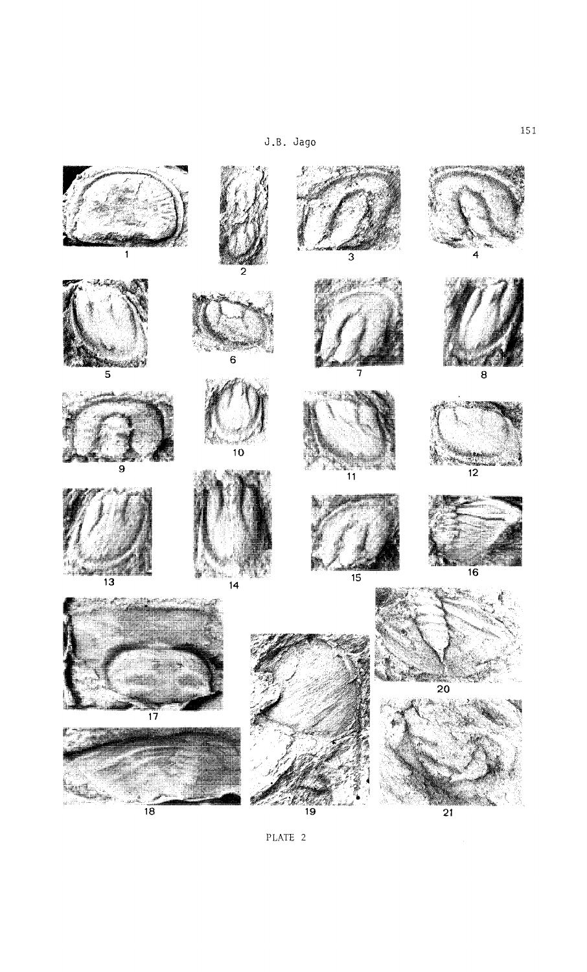J .S. Jago



PLATE 2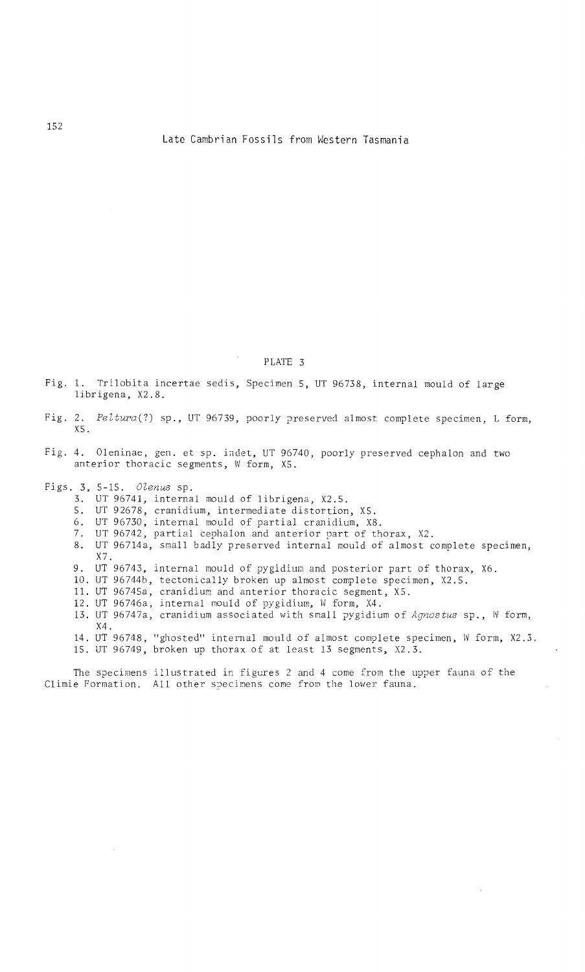### PLATE 3

Fig. 1. Trilobita incertae sedis, Specimen 5, UT 96738, internal mould of large librigena, X2.8.

- Fig. 2. *PeZtura(?)* sp., UT 96739, poorly preserved almost complete specimen, L form, X5.
- Fig. 4. Oleninae, gen. et sp. indet, UT 96740, poorly preserved cephalon and two anterior thoracic segments, W form, X5.
- Figs. 3, *5-15. OZenus* sp.
	- 3. UT 96741, internal mould of librigena, X2.S.
	- 5. UT 92678, cranidium, intermediate distortion, X5.
	- 6. UT 96730, internal mould of partial cranidium, X8.
	- 7. UT 96742, partial cephalon and anterior part of thorax, X2.
	- 8. UT 96714a, small badly preserved internal mould of almost complete specimen, X7.
	- 9. UT 96743, internal mould of pygidium and posterior part of thorax, X6.
	- 10. UT 96744b, tectonically broken up almost complete specimen, X2.S.
	- 11. UT 96745a, cranidium and anterior thoracic segment, X5.
	- 12. UT 96746a, internal mould of pygidium, W form, X4.
	- 13. UT 96747a, cranidium associated with small pygidium of *Agnostus* sp., IV form, X4.
	- 14. 15. UT 96748, "ghosted" internal mould of almost complete specimen, W form, X2.3. UT 96749, broken up thorax of at least 13 segments, X2.3.

The specimens illustrated in figures 2 and 4 come from the upper fauna of the Climie Formation. All other specimens come from the lower fauna.